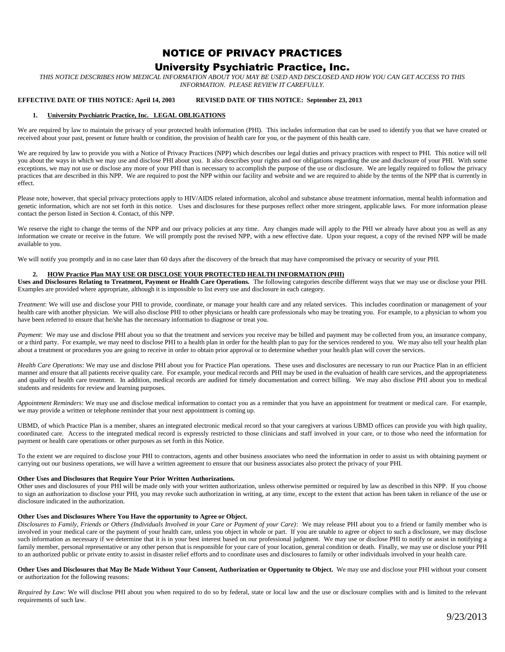# NOTICE OF PRIVACY PRACTICES University Psychiatric Practice, Inc.

*THIS NOTICE DESCRIBES HOW MEDICAL INFORMATION ABOUT YOU MAY BE USED AND DISCLOSED AND HOW YOU CAN GET ACCESS TO THIS INFORMATION. PLEASE REVIEW IT CAREFULLY.*

# **EFFECTIVE DATE OF THIS NOTICE: April 14, 2003 REVISED DATE OF THIS NOTICE: September 23, 2013**

#### **1. University Psychiatric Practice, Inc. LEGAL OBLIGATIONS**

We are required by law to maintain the privacy of your protected health information (PHI). This includes information that can be used to identify you that we have created or received about your past, present or future health or condition, the provision of health care for you, or the payment of this health care.

We are required by law to provide you with a Notice of Privacy Practices (NPP) which describes our legal duties and privacy practices with respect to PHI. This notice will tell you about the ways in which we may use and disclose PHI about you. It also describes your rights and our obligations regarding the use and disclosure of your PHI. With some exceptions, we may not use or disclose any more of your PHI than is necessary to accomplish the purpose of the use or disclosure. We are legally required to follow the privacy practices that are described in this NPP. We are required to post the NPP within our facility and website and we are required to abide by the terms of the NPP that is currently in effect.

Please note, however, that special privacy protections apply to HIV/AIDS related information, alcohol and substance abuse treatment information, mental health information and genetic information, which are not set forth in this notice. Uses and disclosures for these purposes reflect other more stringent, applicable laws. For more information please contact the person listed in Section 4. Contact, of this NPP.

We reserve the right to change the terms of the NPP and our privacy policies at any time. Any changes made will apply to the PHI we already have about you as well as any information we create or receive in the future. We will promptly post the revised NPP, with a new effective date. Upon your request, a copy of the revised NPP will be made available to you.

We will notify you promptly and in no case later than 60 days after the discovery of the breach that may have compromised the privacy or security of your PHI.

#### **2. HOW Practice Plan MAY USE OR DISCLOSE YOUR PROTECTED HEALTH INFORMATION (PHI)**

**Uses and Disclosures Relating to Treatment, Payment or Health Care Operations.** The following categories describe different ways that we may use or disclose your PHI. Examples are provided where appropriate, although it is impossible to list every use and disclosure in each category.

*Treatment*: We will use and disclose your PHI to provide, coordinate, or manage your health care and any related services. This includes coordination or management of your health care with another physician. We will also disclose PHI to other physicians or health care professionals who may be treating you. For example, to a physician to whom you have been referred to ensure that he/she has the necessary information to diagnose or treat you.

*Payment*: We may use and disclose PHI about you so that the treatment and services you receive may be billed and payment may be collected from you, an insurance company, or a third party. For example, we may need to disclose PHI to a health plan in order for the health plan to pay for the services rendered to you. We may also tell your health plan about a treatment or procedures you are going to receive in order to obtain prior approval or to determine whether your health plan will cover the services.

*Health Care Operations*: We may use and disclose PHI about you for Practice Plan operations. These uses and disclosures are necessary to run our Practice Plan in an efficient manner and ensure that all patients receive quality care. For example, your medical records and PHI may be used in the evaluation of health care services, and the appropriateness and quality of health care treatment. In addition, medical records are audited for timely documentation and correct billing. We may also disclose PHI about you to medical students and residents for review and learning purposes.

*Appointment Reminders*: We may use and disclose medical information to contact you as a reminder that you have an appointment for treatment or medical care. For example, we may provide a written or telephone reminder that your next appointment is coming up.

UBMD, of which Practice Plan is a member, shares an integrated electronic medical record so that your caregivers at various UBMD offices can provide you with high quality, coordinated care. Access to the integrated medical record is expressly restricted to those clinicians and staff involved in your care, or to those who need the information for payment or health care operations or other purposes as set forth in this Notice.

To the extent we are required to disclose your PHI to contractors, agents and other business associates who need the information in order to assist us with obtaining payment or carrying out our business operations, we will have a written agreement to ensure that our business associates also protect the privacy of your PHI.

#### **Other Uses and Disclosures that Require Your Prior Written Authorizations.**

Other uses and disclosures of your PHI will be made only with your written authorization, unless otherwise permitted or required by law as described in this NPP. If you choose to sign an authorization to disclose your PHI, you may revoke such authorization in writing, at any time, except to the extent that action has been taken in reliance of the use or disclosure indicated in the authorization.

#### **Other Uses and Disclosures Where You Have the opportunity to Agree or Object.**

*Disclosures to Family, Friends or Others (Individuals Involved in your Care or Payment of your Care)*: We may release PHI about you to a friend or family member who is involved in your medical care or the payment of your health care, unless you object in whole or part. If you are unable to agree or object to such a disclosure, we may disclose such information as necessary if we determine that it is in your best interest based on our professional judgment. We may use or disclose PHI to notify or assist in notifying a family member, personal representative or any other person that is responsible for your care of your location, general condition or death. Finally, we may use or disclose your PHI to an authorized public or private entity to assist in disaster relief efforts and to coordinate uses and disclosures to family or other individuals involved in your health care.

**Other Uses and Disclosures that May Be Made Without Your Consent, Authorization or Opportunity to Object.** We may use and disclose your PHI without your consent or authorization for the following reasons:

*Required by Law*: We will disclose PHI about you when required to do so by federal, state or local law and the use or disclosure complies with and is limited to the relevant requirements of such law.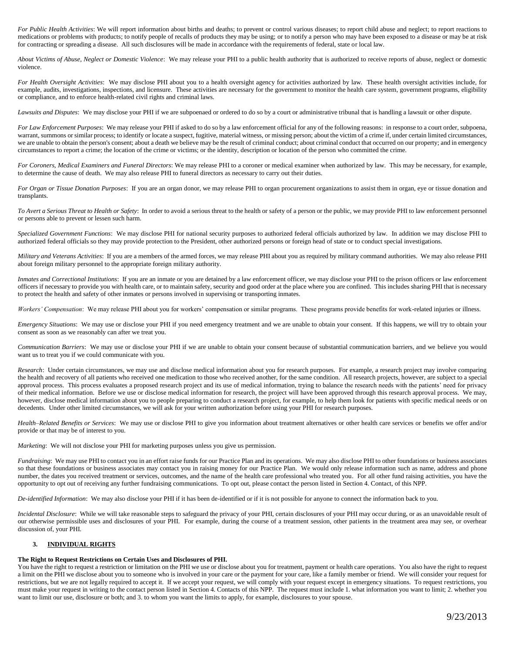*For Public Health Activities*: We will report information about births and deaths; to prevent or control various diseases; to report child abuse and neglect; to report reactions to medications or problems with products; to notify people of recalls of products they may be using; or to notify a person who may have been exposed to a disease or may be at risk for contracting or spreading a disease. All such disclosures will be made in accordance with the requirements of federal, state or local law.

*About Victims of Abuse, Neglect or Domestic Violence*: We may release your PHI to a public health authority that is authorized to receive reports of abuse, neglect or domestic violence.

*For Health Oversight Activities*: We may disclose PHI about you to a health oversight agency for activities authorized by law. These health oversight activities include, for example, audits, investigations, inspections, and licensure. These activities are necessary for the government to monitor the health care system, government programs, eligibility or compliance, and to enforce health-related civil rights and criminal laws.

*Lawsuits and Disputes*: We may disclose your PHI if we are subpoenaed or ordered to do so by a court or administrative tribunal that is handling a lawsuit or other dispute.

*For Law Enforcement Purposes*: We may release your PHI if asked to do so by a law enforcement official for any of the following reasons: in response to a court order, subpoena, warrant, summons or similar process; to identify or locate a suspect, fugitive, material witness, or missing person; about the victim of a crime if, under certain limited circumstances, we are unable to obtain the person's consent; about a death we believe may be the result of criminal conduct; about criminal conduct that occurred on our property; and in emergency circumstances to report a crime; the location of the crime or victims; or the identity, description or location of the person who committed the crime.

*For Coroners, Medical Examiners and Funeral Directors*: We may release PHI to a coroner or medical examiner when authorized by law. This may be necessary, for example, to determine the cause of death. We may also release PHI to funeral directors as necessary to carry out their duties.

*For Organ or Tissue Donation Purposes*: If you are an organ donor, we may release PHI to organ procurement organizations to assist them in organ, eye or tissue donation and transplants.

*To Avert a Serious Threat to Health or Safety*: In order to avoid a serious threat to the health or safety of a person or the public, we may provide PHI to law enforcement personnel or persons able to prevent or lessen such harm.

*Specialized Government Functions*: We may disclose PHI for national security purposes to authorized federal officials authorized by law. In addition we may disclose PHI to authorized federal officials so they may provide protection to the President, other authorized persons or foreign head of state or to conduct special investigations.

*Military and Veterans Activities*: If you are a members of the armed forces, we may release PHI about you as required by military command authorities. We may also release PHI about foreign military personnel to the appropriate foreign military authority.

*Inmates and Correctional Institutions*: If you are an inmate or you are detained by a law enforcement officer, we may disclose your PHI to the prison officers or law enforcement officers if necessary to provide you with health care, or to maintain safety, security and good order at the place where you are confined. This includes sharing PHI that is necessary to protect the health and safety of other inmates or persons involved in supervising or transporting inmates.

*Workers' Compensation*: We may release PHI about you for workers' compensation or similar programs. These programs provide benefits for work-related injuries or illness.

*Emergency Situations*: We may use or disclose your PHI if you need emergency treatment and we are unable to obtain your consent. If this happens, we will try to obtain your consent as soon as we reasonably can after we treat you.

*Communication Barriers*: We may use or disclose your PHI if we are unable to obtain your consent because of substantial communication barriers, and we believe you would want us to treat you if we could communicate with you.

*Research*: Under certain circumstances, we may use and disclose medical information about you for research purposes. For example, a research project may involve comparing the health and recovery of all patients who received one medication to those who received another, for the same condition. All research projects, however, are subject to a special approval process. This process evaluates a proposed research project and its use of medical information, trying to balance the research needs with the patients' need for privacy of their medical information. Before we use or disclose medical information for research, the project will have been approved through this research approval process. We may, however, disclose medical information about you to people preparing to conduct a research project, for example, to help them look for patients with specific medical needs or on decedents. Under other limited circumstances, we will ask for your written authorization before using your PHI for research purposes.

*Health–Related Benefits or Services*: We may use or disclose PHI to give you information about treatment alternatives or other health care services or benefits we offer and/or provide or that may be of interest to you.

*Marketing*: We will not disclose your PHI for marketing purposes unless you give us permission.

*Fundraising*: We may use PHI to contact you in an effort raise funds for our Practice Plan and its operations. We may also disclose PHI to other foundations or business associates so that these foundations or business associates may contact you in raising money for our Practice Plan. We would only release information such as name, address and phone number, the dates you received treatment or services, outcomes, and the name of the health care professional who treated you. For all other fund raising activities, you have the opportunity to opt out of receiving any further fundraising communications. To opt out, please contact the person listed in Section 4. Contact, of this NPP.

*De-identified Information*: We may also disclose your PHI if it has been de-identified or if it is not possible for anyone to connect the information back to you.

*Incidental Disclosure*: While we will take reasonable steps to safeguard the privacy of your PHI, certain disclosures of your PHI may occur during, or as an unavoidable result of our otherwise permissible uses and disclosures of your PHI. For example, during the course of a treatment session, other patients in the treatment area may see, or overhear discussion of, your PHI.

## **3. INDIVIDUAL RIGHTS**

### **The Right to Request Restrictions on Certain Uses and Disclosures of PHI.**

You have the right to request a restriction or limitation on the PHI we use or disclose about you for treatment, payment or health care operations. You also have the right to request a limit on the PHI we disclose about you to someone who is involved in your care or the payment for your care, like a family member or friend. We will consider your request for restrictions, but we are not legally required to accept it. If we accept your request, we will comply with your request except in emergency situations. To request restrictions, you must make your request in writing to the contact person listed in Section 4. Contacts of this NPP. The request must include 1. what information you want to limit; 2. whether you want to limit our use, disclosure or both; and 3. to whom you want the limits to apply, for example, disclosures to your spouse.